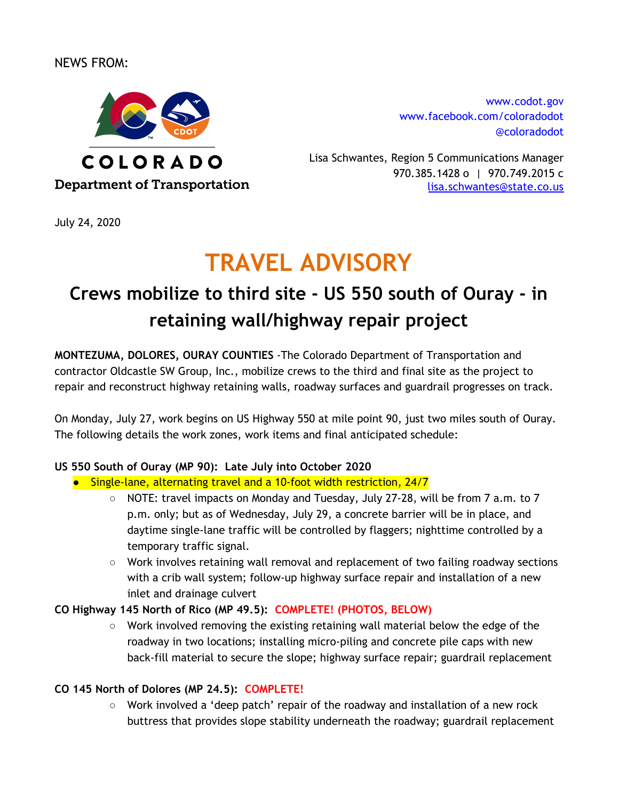## NEWS FROM:



[www.codot.gov](http://www.coloradodot.info/) [www.facebook.com/coloradodot](http://www.facebook.com/coloradodot) [@coloradodot](https://twitter.com/ColoradoDOT)

Lisa Schwantes, Region 5 Communications Manager 970.385.1428 o | 970.749.2015 c lisa.schwantes@state.co.us

July 24, 2020

# **TRAVEL ADVISORY**

# **Crews mobilize to third site - US 550 south of Ouray - in retaining wall/highway repair project**

**MONTEZUMA, DOLORES, OURAY COUNTIES** -The Colorado Department of Transportation and contractor Oldcastle SW Group, Inc., mobilize crews to the third and final site as the project to repair and reconstruct highway retaining walls, roadway surfaces and guardrail progresses on track.

On Monday, July 27, work begins on US Highway 550 at mile point 90, just two miles south of Ouray. The following details the work zones, work items and final anticipated schedule:

### **US 550 South of Ouray (MP 90): Late July into October 2020**

- Single-lane, alternating travel and a 10-foot width restriction, 24/7
	- $\circ$  NOTE: travel impacts on Monday and Tuesday, July 27-28, will be from 7 a.m. to 7 p.m. only; but as of Wednesday, July 29, a concrete barrier will be in place, and daytime single-lane traffic will be controlled by flaggers; nighttime controlled by a temporary traffic signal.
	- Work involves retaining wall removal and replacement of two failing roadway sections with a crib wall system; follow-up highway surface repair and installation of a new inlet and drainage culvert

### **CO Highway 145 North of Rico (MP 49.5): COMPLETE! (PHOTOS, BELOW)**

 $\circ$  Work involved removing the existing retaining wall material below the edge of the roadway in two locations; installing micro-piling and concrete pile caps with new back-fill material to secure the slope; highway surface repair; guardrail replacement

### **CO 145 North of Dolores (MP 24.5): COMPLETE!**

○ Work involved a 'deep patch' repair of the roadway and installation of a new rock buttress that provides slope stability underneath the roadway; guardrail replacement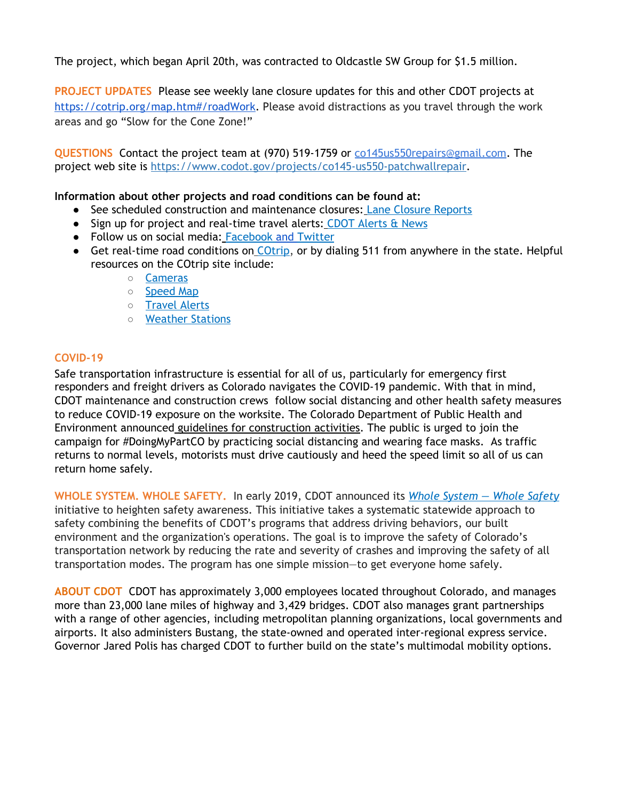The project, which began April 20th, was contracted to Oldcastle SW Group for \$1.5 million.

**PROJECT UPDATES** Please see weekly lane closure updates for this and other CDOT projects at [https://cotrip.org/map.htm#/roadWork.](https://cotrip.org/map.htm#/roadWork) Please avoid distractions as you travel through the work areas and go "Slow for the Cone Zone!"

**QUESTIONS** Contact the project team at (970) 519-1759 or co145us550repair[s@gmail.com](mailto:region5guardrail@gmail.com). The project web site is <https://www.codot.gov/projects/co145-us550-patchwallrepair>.

#### **Information about other projects and road conditions can be found at:**

- See scheduled construction and maintenance closures: Lane Closure [Reports](http://www.cotrip.org/constructionReport.htm)
- Sign up for project and real-time travel alerts[:](http://subscription.cotrip.org/) CDOT [Alerts](http://subscription.cotrip.org/) & News
- Follow us on social media: [Facebook](http://www.facebook.com/coloradodot) [and](http://www.facebook.com/coloradodot) [Twitter](http://www.twitter.com/coloradodot)
- Get real-time road co[n](http://www.cotrip.org/home.htm)ditions on [COtrip](http://www.cotrip.org/home.htm), or by dialing 511 from anywhere in the state. Helpful resources on the COtrip site include:
	- [Cameras](http://www.cotrip.org/map.htm#/roadConditions?focus=StreamingCameras)
	- [Speed](http://www.cotrip.org/map.htm#/speed) Map
	- [Travel](http://www.cotrip.org/travelAlerts.htm) Alerts
	- [Weather](http://www.cotrip.org/map.htm#/roadConditions) Stations

#### **COVID-19**

Safe transportation infrastructure is essential for all of us, particularly for emergency first responders and freight drivers as Colorado navigates the COVID-19 pandemic. With that in mind, CDOT maintenance and construction crews follow social distancing and other health safety measures to reduce COVID-19 exposure on the worksite. The Colorado Department of Public Health and Environment announced guidelines for [construction](https://urldefense.proofpoint.com/v2/url?u=https-3A__drive.google.com_file_d_1pMbMK8-2DbHLjmithMj51rOg6CmZwEI0nV_view&d=DwMFaQ&c=sdnEM9SRGFuMt5z5w3AhsPNahmNicq64TgF1JwNR0cs&r=y1-pK3HXj3VrDIMNwvTqfqPa0_vQG4jDLKEB7FWvq4c&m=KiWk2DS7GZJIsHaR2oPuqk1uWw9hzBp091HM2o0KHTc&s=9umqryUX7OSIQQd62DO_LeN2WkfTffWHOdGuXn0I4yw&e=) activities. The public is urged to join the campaign for #DoingMyPartCO by practicing social distancing and wearing face masks. As traffic returns to normal levels, motorists must drive cautiously and heed the speed limit so all of us can return home safely.

**WHOLE SYSTEM. WHOLE SAFETY.** In early 2019, CDOT announced it[s](https://www.codot.gov/safety) *Whole [System](https://www.codot.gov/safety) — Whole Safety* initiative to heighten safety awareness. This initiative takes a systematic statewide approach to safety combining the benefits of CDOT's programs that address driving behaviors, our built environment and the organization's operations. The goal is to improve the safety of Colorado's transportation network by reducing the rate and severity of crashes and improving the safety of all transportation modes. The program has one simple mission—to get everyone home safely.

**ABOUT CDOT** CDOT has approximately 3,000 employees located throughout Colorado, and manages more than 23,000 lane miles of highway and 3,429 bridges. CDOT also manages grant partnerships with a range of other agencies, including metropolitan planning organizations, local governments and airports. It also administers Bustang, the state-owned and operated inter-regional express service. Governor Jared Polis has charged CDOT to further build on the state's multimodal mobility options.